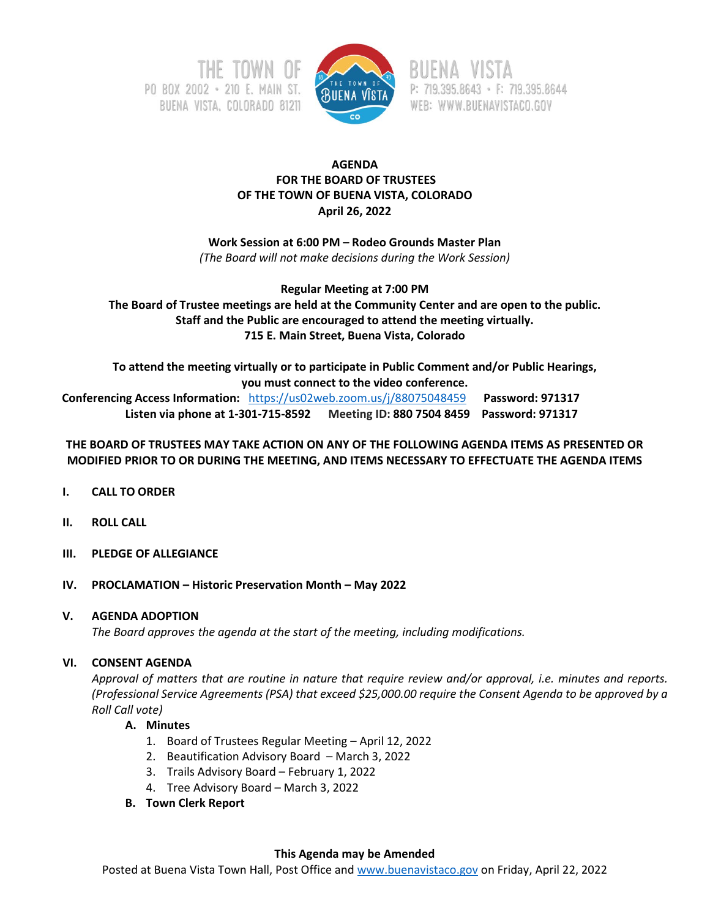



P: 719.395.8643 · F: 719.395.8644 WEB: WWW.BUENAVISTACO.GOV

# **AGENDA FOR THE BOARD OF TRUSTEES OF THE TOWN OF BUENA VISTA, COLORADO April 26, 2022**

**Work Session at 6:00 PM – Rodeo Grounds Master Plan** *(The Board will not make decisions during the Work Session)*

**Regular Meeting at 7:00 PM The Board of Trustee meetings are held at the Community Center and are open to the public. Staff and the Public are encouraged to attend the meeting virtually. 715 E. Main Street, Buena Vista, Colorado**

**To attend the meeting virtually or to participate in Public Comment and/or Public Hearings, you must connect to the video conference.**

 **Conferencing Access Information:** <https://us02web.zoom.us/j/88075048459>**Password: 971317 Listen via phone at 1-301-715-8592 Meeting ID: 880 7504 8459 Password: 971317**

# **THE BOARD OF TRUSTEES MAY TAKE ACTION ON ANY OF THE FOLLOWING AGENDA ITEMS AS PRESENTED OR MODIFIED PRIOR TO OR DURING THE MEETING, AND ITEMS NECESSARY TO EFFECTUATE THE AGENDA ITEMS**

- **I. CALL TO ORDER**
- **II. ROLL CALL**
- **III. PLEDGE OF ALLEGIANCE**
- **IV. PROCLAMATION – Historic Preservation Month – May 2022**

# **V. AGENDA ADOPTION**

*The Board approves the agenda at the start of the meeting, including modifications.*

### **VI. CONSENT AGENDA**

*Approval of matters that are routine in nature that require review and/or approval, i.e. minutes and reports. (Professional Service Agreements (PSA) that exceed \$25,000.00 require the Consent Agenda to be approved by a Roll Call vote)*

### **A. Minutes**

- 1. Board of Trustees Regular Meeting April 12, 2022
- 2. Beautification Advisory Board March 3, 2022
- 3. Trails Advisory Board February 1, 2022
- 4. Tree Advisory Board March 3, 2022
- **B. Town Clerk Report**

### **This Agenda may be Amended**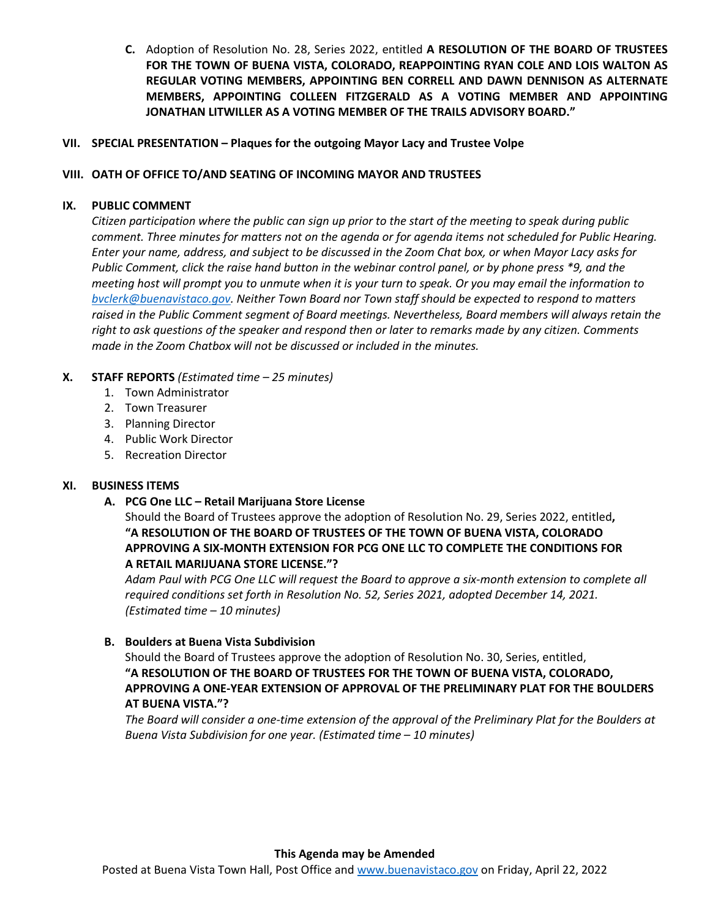**C.** Adoption of Resolution No. 28, Series 2022, entitled **A RESOLUTION OF THE BOARD OF TRUSTEES FOR THE TOWN OF BUENA VISTA, COLORADO, REAPPOINTING RYAN COLE AND LOIS WALTON AS REGULAR VOTING MEMBERS, APPOINTING BEN CORRELL AND DAWN DENNISON AS ALTERNATE MEMBERS, APPOINTING COLLEEN FITZGERALD AS A VOTING MEMBER AND APPOINTING JONATHAN LITWILLER AS A VOTING MEMBER OF THE TRAILS ADVISORY BOARD."**

### **VII. SPECIAL PRESENTATION – Plaques for the outgoing Mayor Lacy and Trustee Volpe**

#### **VIII. OATH OF OFFICE TO/AND SEATING OF INCOMING MAYOR AND TRUSTEES**

#### **IX. PUBLIC COMMENT**

*Citizen participation where the public can sign up prior to the start of the meeting to speak during public comment. Three minutes for matters not on the agenda or for agenda items not scheduled for Public Hearing. Enter your name, address, and subject to be discussed in the Zoom Chat box, or when Mayor Lacy asks for Public Comment, click the raise hand button in the webinar control panel, or by phone press \*9, and the meeting host will prompt you to unmute when it is your turn to speak. Or you may email the information to [bvclerk@buenavistaco.gov.](mailto:bvclerk@buenavistaco.gov) Neither Town Board nor Town staff should be expected to respond to matters raised in the Public Comment segment of Board meetings. Nevertheless, Board members will always retain the right to ask questions of the speaker and respond then or later to remarks made by any citizen. Comments made in the Zoom Chatbox will not be discussed or included in the minutes.*

### **X. STAFF REPORTS** *(Estimated time – 25 minutes)*

- 1. Town Administrator
- 2. Town Treasurer
- 3. Planning Director
- 4. Public Work Director
- 5. Recreation Director

### **XI. BUSINESS ITEMS**

### **A. PCG One LLC – Retail Marijuana Store License**

Should the Board of Trustees approve the adoption of Resolution No. 29, Series 2022, entitled**, "A RESOLUTION OF THE BOARD OF TRUSTEES OF THE TOWN OF BUENA VISTA, COLORADO APPROVING A SIX-MONTH EXTENSION FOR PCG ONE LLC TO COMPLETE THE CONDITIONS FOR A RETAIL MARIJUANA STORE LICENSE."?**

*Adam Paul with PCG One LLC will request the Board to approve a six-month extension to complete all required conditions set forth in Resolution No. 52, Series 2021, adopted December 14, 2021. (Estimated time – 10 minutes)*

### **B. Boulders at Buena Vista Subdivision**

Should the Board of Trustees approve the adoption of Resolution No. 30, Series, entitled, **"A RESOLUTION OF THE BOARD OF TRUSTEES FOR THE TOWN OF BUENA VISTA, COLORADO, APPROVING A ONE-YEAR EXTENSION OF APPROVAL OF THE PRELIMINARY PLAT FOR THE BOULDERS AT BUENA VISTA."?**

*The Board will consider a one-time extension of the approval of the Preliminary Plat for the Boulders at Buena Vista Subdivision for one year. (Estimated time – 10 minutes)*